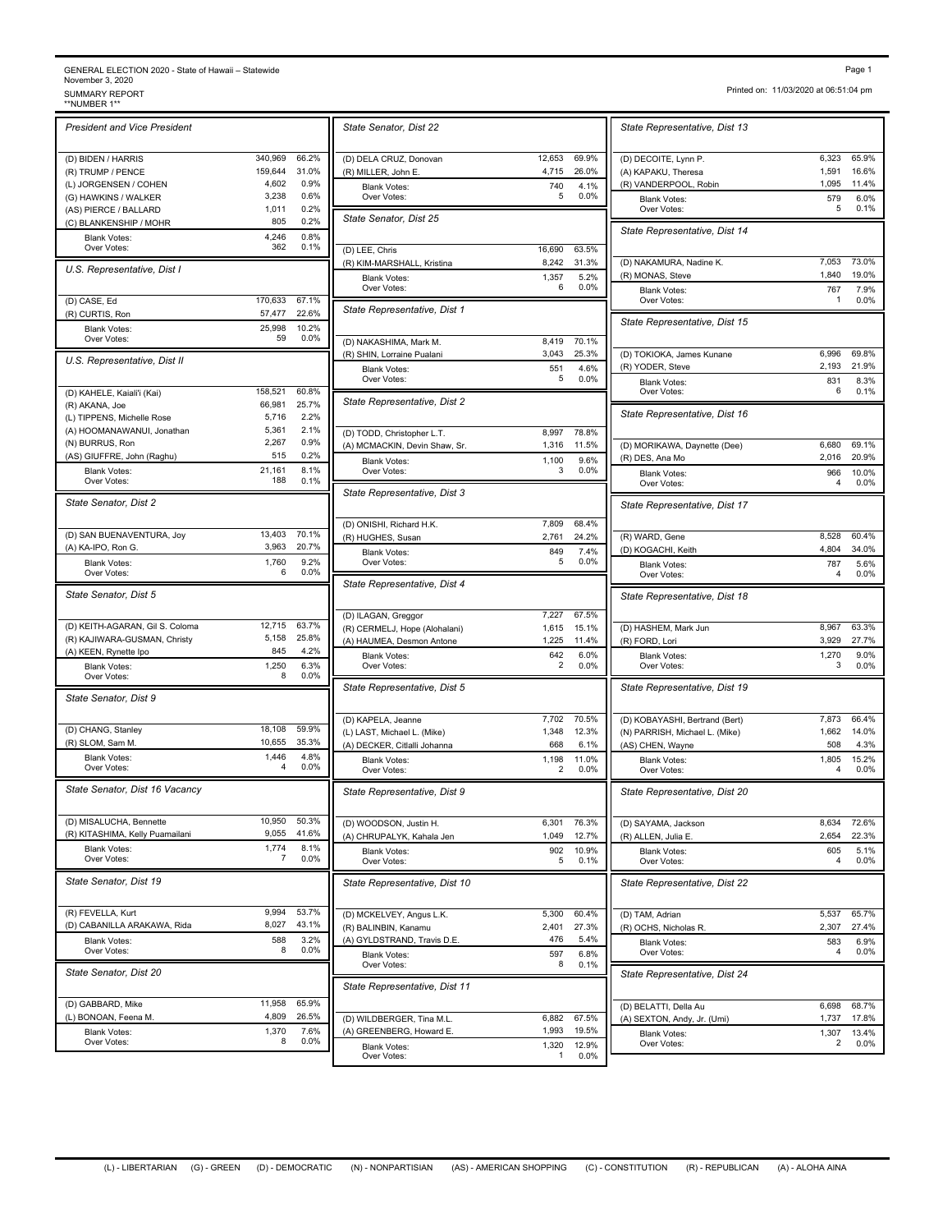## GENERAL ELECTION 2020 - State of Hawaii – Statewide<br>November 3, 2020<br>\*NUMBER 1\*\*<br>\*\*NUMBER 1\*\*

| <b>President and Vice President</b> |                   |                | State Senator, Dist 22             |
|-------------------------------------|-------------------|----------------|------------------------------------|
| (D) BIDEN / HARRIS                  | 340,969           | 66.2%          | (D) DELA CRUZ, Donovan             |
| (R) TRUMP / PENCE                   | 159,644           | 31.0%          | (R) MILLER, John E.                |
| (L) JORGENSEN / COHEN               | 4,602             | 0.9%           | <b>Blank Votes:</b>                |
| (G) HAWKINS / WALKER                | 3,238             | 0.6%           | Over Votes:                        |
| (AS) PIERCE / BALLARD               | 1,011             | 0.2%           |                                    |
| (C) BLANKENSHIP / MOHR              | 805               | 0.2%           | State Senator, Dist 25             |
| <b>Blank Votes:</b>                 | 4,246             | 0.8%           |                                    |
| Over Votes:                         | 362               | 0.1%           | (D) LEE, Chris                     |
| U.S. Representative, Dist I         |                   |                | (R) KIM-MARSHALL, Kristina         |
|                                     |                   |                | <b>Blank Votes:</b>                |
|                                     |                   |                | Over Votes:                        |
| (D) CASE, Ed                        | 170,633<br>57,477 | 67.1%<br>22.6% | State Representative, Dist 1       |
| (R) CURTIS, Ron                     |                   |                |                                    |
| <b>Blank Votes:</b><br>Over Votes:  | 25,998<br>59      | 10.2%<br>0.0%  |                                    |
|                                     |                   |                | (D) NAKASHIMA, Mark M.             |
| U.S. Representative, Dist II        |                   |                | (R) SHIN, Lorraine Pualani         |
|                                     |                   |                | <b>Blank Votes:</b><br>Over Votes: |
| (D) KAHELE, Kaiali'i (Kai)          | 158,521           | 60.8%          |                                    |
| (R) AKANA, Joe                      | 66,981            | 25.7%          | State Representative, Dist 2       |
| (L) TIPPENS, Michelle Rose          | 5,716             | 2.2%           |                                    |
| (A) HOOMANAWANUI, Jonathan          | 5,361             | 2.1%           | (D) TODD, Christopher L.T.         |
| (N) BURRUS, Ron                     | 2,267             | 0.9%           | (A) MCMACKIN, Devin Shaw, S        |
| (AS) GIUFFRE, John (Raghu)          | 515               | 0.2%           |                                    |
| <b>Blank Votes:</b>                 | 21,161            | 8.1%           | <b>Blank Votes:</b><br>Over Votes: |
| Over Votes:                         | 188               | 0.1%           |                                    |
|                                     |                   |                | State Representative, Dist 3       |
| State Senator, Dist 2               |                   |                |                                    |
|                                     |                   |                | (D) ONISHI, Richard H.K.           |
| (D) SAN BUENAVENTURA, Joy           | 13,403            | 70.1%          | (R) HUGHES, Susan                  |
| (A) KA-IPO, Ron G.                  | 3,963             | 20.7%          | <b>Blank Votes:</b>                |
| <b>Blank Votes:</b>                 | 1,760             | 9.2%           | Over Votes:                        |
| Over Votes:                         | 6                 | 0.0%           |                                    |
| State Senator, Dist 5               |                   |                | State Representative, Dist 4       |
|                                     |                   |                |                                    |
|                                     |                   |                | (D) ILAGAN, Greggor                |
| (D) KEITH-AGARAN, Gil S. Coloma     | 12,715            | 63.7%          | (R) CERMELJ, Hope (Alohalani)      |
| (R) KAJIWARA-GUSMAN, Christy        | 5,158             | 25.8%          | (A) HAUMEA, Desmon Antone          |
| (A) KEEN, Rynette Ipo               | 845               | 4.2%           | <b>Blank Votes:</b>                |
| <b>Blank Votes:</b>                 | 1,250             | 6.3%           | Over Votes:                        |
| Over Votes:                         | 8                 | 0.0%           | State Representative, Dist &       |
| State Senator, Dist 9               |                   |                |                                    |
|                                     |                   |                |                                    |
|                                     |                   |                | (D) KAPELA, Jeanne                 |
| (D) CHANG, Stanley                  | 18,108<br>10,655  | 59.9%<br>35.3% | (L) LAST, Michael L. (Mike)        |
| (R) SLOM, Sam M.                    |                   |                | (A) DECKER, Citlalli Johanna       |
| <b>Blank Votes:</b><br>Over Votes:  | 1,446<br>4        | 4.8%<br>0.0%   | <b>Blank Votes:</b><br>Over Votes: |
|                                     |                   |                |                                    |
| State Senator, Dist 16 Vacancy      |                   |                | State Representative, Dist 9       |
|                                     |                   |                |                                    |
| (D) MISALUCHA, Bennette             | 10,950            | 50.3%          | (D) WOODSON, Justin H.             |
| (R) KITASHIMA, Kelly Puamailani     | 9,055             | 41.6%          | (A) CHRUPALYK, Kahala Jen          |
| <b>Blank Votes:</b>                 | 1,774             | 8.1%           |                                    |
| Over Votes:                         | 7                 | 0.0%           | <b>Blank Votes:</b><br>Over Votes: |
|                                     |                   |                |                                    |
| State Senator, Dist 19              |                   |                | State Representative, Dist 1       |
|                                     |                   |                |                                    |
| (R) FEVELLA, Kurt                   | 9.994             | 53.7%          | (D) MCKELVEY, Angus L.K.           |
| (D) CABANILLA ARAKAWA, Rida         | 8,027             | 43.1%          | (R) BALINBIN, Kanamu               |
| <b>Blank Votes:</b>                 | 588               | 3.2%           | (A) GYLDSTRAND, Travis D.E.        |
| Over Votes:                         | 8                 | 0.0%           | <b>Blank Votes:</b>                |
|                                     |                   |                | Over Votes:                        |
| State Senator, Dist 20              |                   |                |                                    |
|                                     |                   |                |                                    |
|                                     |                   |                | State Representative, Dist         |
| (D) GABBARD, Mike                   | 11,958            | 65.9%          |                                    |
| (L) BONOAN, Feena M.                | 4,809             | 26.5%          | (D) WILDBERGER, Tina M.L.          |
| <b>Blank Votes:</b>                 | 1,370             | 7.6%<br>0.0%   | (A) GREENBERG, Howard E.           |

|                | State Senator, Dist 22                                      |                                       | State Representative, Dist                         |
|----------------|-------------------------------------------------------------|---------------------------------------|----------------------------------------------------|
| 66.2%          | (D) DELA CRUZ, Donovan                                      | 12,653<br>69.9%                       | (D) DECOITE, Lynn P.                               |
| 31.0%<br>0.9%  | (R) MILLER, John E.<br><b>Blank Votes:</b>                  | 4,715<br>26.0%<br>740<br>4.1%         | (A) KAPAKU, Theresa<br>(R) VANDERPOOL, Robin       |
| 0.6%<br>0.2%   | Over Votes:                                                 | 0.0%<br>5                             | Blank Votes:<br>Over Votes:                        |
| 0.2%<br>0.8%   | State Senator, Dist 25                                      |                                       | State Representative, Dist                         |
| 0.1%           | (D) LEE, Chris                                              | 16,690<br>63.5%                       |                                                    |
|                | (R) KIM-MARSHALL, Kristina<br><b>Blank Votes:</b>           | 8,242<br>31.3%<br>1,357<br>5.2%       | (D) NAKAMURA, Nadine K.<br>(R) MONAS, Steve        |
| 67.1%          | Over Votes:                                                 | 0.0%<br>6                             | <b>Blank Votes:</b><br>Over Votes:                 |
| 22.6%<br>10.2% | State Representative, Dist 1                                |                                       | State Representative, Dist                         |
| 0.0%           | (D) NAKASHIMA, Mark M.                                      | 8,419<br>70.1%                        |                                                    |
|                | (R) SHIN, Lorraine Pualani                                  | 3,043<br>25.3%                        | (D) TOKIOKA, James Kunane<br>(R) YODER, Steve      |
| 60.8%          | <b>Blank Votes:</b><br>Over Votes:                          | 551<br>4.6%<br>0.0%<br>5              | <b>Blank Votes:</b><br>Over Votes:                 |
| 25.7%          | State Representative, Dist 2                                |                                       |                                                    |
| 2.2%<br>2.1%   |                                                             | 78.8%                                 | State Representative, Dist                         |
| 0.9%           | (D) TODD, Christopher L.T.<br>(A) MCMACKIN, Devin Shaw, Sr. | 8,997<br>1,316<br>11.5%               | (D) MORIKAWA, Daynette (Dee                        |
| 0.2%<br>8.1%   | <b>Blank Votes:</b>                                         | 1,100<br>9.6%<br>3<br>0.0%            | (R) DES, Ana Mo                                    |
| 0.1%           | Over Votes:                                                 |                                       | <b>Blank Votes:</b><br>Over Votes:                 |
|                | State Representative, Dist 3                                |                                       | State Representative, Dist                         |
| 70.1%          | (D) ONISHI, Richard H.K.                                    | 7,809<br>68.4%                        |                                                    |
| 20.7%          | (R) HUGHES, Susan<br><b>Blank Votes:</b>                    | 2,761<br>24.2%<br>7.4%<br>849         | (R) WARD, Gene<br>(D) KOGACHI, Keith               |
| 9.2%<br>0.0%   | Over Votes:                                                 | 0.0%<br>5                             | <b>Blank Votes:</b><br>Over Votes:                 |
|                | State Representative, Dist 4                                |                                       | State Representative, Dist                         |
| 63.7%          | (D) ILAGAN, Greggor<br>(R) CERMELJ, Hope (Alohalani)        | 7,227<br>67.5%<br>1,615<br>15.1%      | (D) HASHEM, Mark Jun                               |
| 25.8%          | (A) HAUMEA, Desmon Antone                                   | 1,225<br>11.4%                        | (R) FORD, Lori                                     |
| 4.2%<br>6.3%   | <b>Blank Votes:</b><br>Over Votes:                          | 642<br>6.0%<br>0.0%<br>$\overline{2}$ | <b>Blank Votes:</b><br>Over Votes:                 |
| 0.0%           | State Representative, Dist 5                                |                                       | State Representative, Dist 1                       |
|                | (D) KAPELA, Jeanne                                          | 7,702<br>70.5%                        | (D) KOBAYASHI, Bertrand (Bert                      |
| 59.9%<br>35.3% | (L) LAST, Michael L. (Mike)                                 | 1,348<br>12.3%                        | (N) PARRISH, Michael L. (Mike)                     |
| 4.8%           | (A) DECKER, Citlalli Johanna<br><b>Blank Votes:</b>         | 668<br>6.1%<br>1,198<br>11.0%         | (AS) CHEN, Wayne<br><b>Blank Votes:</b>            |
| 0.0%           | Over Votes:                                                 | 0.0%<br>2                             | Over Votes:                                        |
|                | State Representative, Dist 9                                |                                       | State Representative, Dist 2                       |
| 50.3%<br>41.6% | (D) WOODSON, Justin H.<br>(A) CHRUPALYK, Kahala Jen         | 6,301<br>76.3%<br>1,049<br>12.7%      | (D) SAYAMA, Jackson<br>(R) ALLEN, Julia E.         |
| 8.1%           | <b>Blank Votes:</b>                                         | 902<br>10.9%                          | <b>Blank Votes:</b>                                |
| 0.0%           | Over Votes:                                                 | 5<br>0.1%                             | Over Votes:                                        |
|                | State Representative, Dist 10                               |                                       | State Representative, Dist 1                       |
| 53.7%<br>43.1% | (D) MCKELVEY, Angus L.K.<br>(R) BALINBIN, Kanamu            | 5,300<br>60.4%<br>2,401<br>27.3%      | (D) TAM, Adrian<br>(R) OCHS, Nicholas R.           |
| 3.2%           | (A) GYLDSTRAND, Travis D.E.                                 | 476<br>5.4%                           | <b>Blank Votes:</b>                                |
| 0.0%           | <b>Blank Votes:</b><br>Over Votes:                          | 597<br>6.8%<br>8<br>0.1%              | Over Votes:                                        |
|                | State Representative, Dist 11                               |                                       | State Representative, Dist 2                       |
| 65.9%<br>26.5% |                                                             |                                       | (D) BELATTI, Della Au                              |
| 7.6%           | (D) WILDBERGER, Tina M.L.<br>(A) GREENBERG, Howard E.       | 6,882<br>67.5%<br>1,993<br>19.5%      | (A) SEXTON, Andy, Jr. (Umi)<br><b>Blank Votes:</b> |
| 0.0%           | <b>Blank Votes:</b>                                         | 1,320<br>12.9%<br>0.0%                | Over Votes:                                        |
|                | Over Votes:                                                 | 1                                     |                                                    |

Printed on: 11/03/2020 at 06:51:04 pm

| State Representative, Dist 13                        |                     |                           |
|------------------------------------------------------|---------------------|---------------------------|
| (D) DECOITE, Lynn P.<br>(A) KAPAKU, Theresa          | 6,323<br>1,591      | 65.9%<br>16.6%            |
| (R) VANDERPOOL, Robin<br><b>Blank Votes:</b>         | 1,095<br>579        | 11.4%<br>6.0%             |
| Over Votes:<br>State Representative, Dist 14         | 5                   | 0.1%                      |
| (D) NAKAMURA, Nadine K.                              | 7,053               | 73.0%                     |
| (R) MONAS, Steve<br><b>Blank Votes:</b>              | 1,840<br>767        | 19.0%<br>7.9%             |
| Over Votes:                                          | 1                   | 0.0%                      |
| State Representative, Dist 15                        |                     |                           |
| (D) TOKIOKA, James Kunane<br>(R) YODER, Steve        | 6,996<br>2,193      | 69.8%<br>21.9%            |
| <b>Blank Votes:</b><br>Over Votes:                   | 831<br>6            | 8.3%<br>0.1%              |
| State Representative, Dist 16                        |                     |                           |
| (D) MORIKAWA, Daynette (Dee)<br>(R) DES, Ana Mo      | 6,680<br>2,016      | 69.1%<br>20.9%            |
| <b>Blank Votes:</b><br>Over Votes:                   | 966<br>4            | 10.0%<br>0.0%             |
| State Representative, Dist 17                        |                     |                           |
| (R) WARD, Gene<br>(D) KOGACHI, Keith                 | 8,528<br>4,804      | 60.4%<br>34.0%            |
| <b>Blank Votes:</b><br>Over Votes:                   | 787<br>4            | 5.6%<br>$0.0\%$           |
| State Representative, Dist 18                        |                     |                           |
| (D) HASHEM, Mark Jun<br>(R) FORD, Lori               | 8,967<br>3,929      | 63.3%<br>27.7%            |
| <b>Blank Votes:</b><br>Over Votes:                   | 1,270<br>3          | $9.0\%$<br>$0.0\%$        |
| State Representative, Dist 19                        |                     |                           |
| (D) KOBAYASHI, Bertrand (Bert)                       | 7,873<br>1,662      | 66.4%<br>14.0%            |
| (N) PARRISH, Michael L. (Mike)<br>(AS) CHEN, Wayne   | 508                 | 4.3%<br>15.2%             |
| <b>Blank Votes:</b><br>Over Votes:                   | 1,805<br>4          | 0.0%                      |
| State Representative, Dist 20                        |                     |                           |
| (D) SAYAMA, Jackson<br>(R) ALLEN, Julia E.           | 8,634<br>2,654      | 72.6%<br>22.3%            |
| <b>Blank Votes:</b><br>Over Votes:                   | 605<br>4            | 5.1%<br>$0.0\%$           |
| State Representative, Dist 22                        |                     |                           |
| (D) TAM, Adrian<br>(R) OCHS, Nicholas R.             | 5,537<br>2,307      | 65.7%<br>27.4%            |
| Blank Votes:<br>Over Votes:                          | 583<br>4            | 6.9%<br>$0.0\%$           |
| State Representative, Dist 24                        |                     |                           |
| (D) BELATTI, Della Au<br>(A) SEXTON, Andy, Jr. (Umi) | 6,698               | 68.7%                     |
|                                                      |                     |                           |
| Blank Votes:<br>Over Votes:                          | 1,737<br>1,307<br>2 | 17.8%<br>13.4%<br>$0.0\%$ |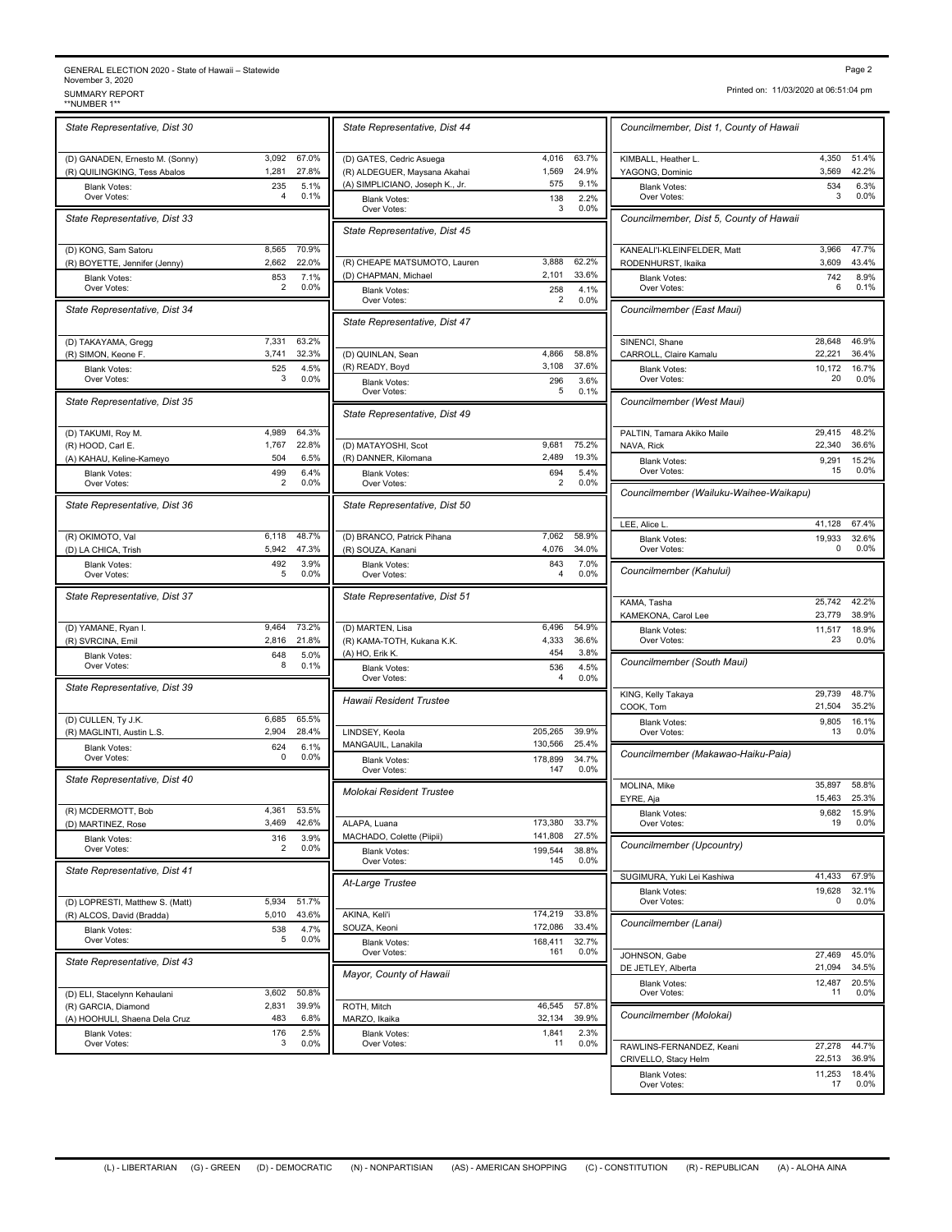### GENERAL ELECTION 2020 - State of Hawaii – Statewide<br>November 3, 2020<br>SUMMARY REPORT<br>\*\*NUMBER 1\*\* Page 2<br>November 3, 2020<br>SUMMARY REPORT Printed on: 11/03/2020 at 06:51:04 pm<br>\*\*NUMBER 1\*\* FORT<br>\*\*NUMBER 1\*\*

| State Representative, Dist 30                    |                |                | State Representative, Dist 4                                |
|--------------------------------------------------|----------------|----------------|-------------------------------------------------------------|
| (D) GANADEN, Ernesto M. (Sonny)                  | 3,092          | 67.0%          | (D) GATES, Cedric Asuega                                    |
| (R) QUILINGKING, Tess Abalos                     | 1,281<br>235   | 27.8%<br>5.1%  | (R) ALDEGUER, Maysana Akah<br>(A) SIMPLICIANO, Joseph K., J |
| <b>Blank Votes:</b><br>Over Votes:               | 4              | 0.1%           | <b>Blank Votes:</b>                                         |
| State Representative, Dist 33                    |                |                | Over Votes:<br>State Representative, Dist 4                 |
| (D) KONG, Sam Satoru                             | 8,565          | 70.9%          |                                                             |
| (R) BOYETTE, Jennifer (Jenny)                    | 2,662          | 22.0%          | (R) CHEAPE MATSUMOTO, La                                    |
| <b>Blank Votes:</b><br>Over Votes:               | 853<br>2       | 7.1%<br>0.0%   | (D) CHAPMAN, Michael<br><b>Blank Votes:</b>                 |
| State Representative, Dist 34                    |                |                | Over Votes:<br>State Representative, Dist 4                 |
| (D) TAKAYAMA, Gregg                              | 7,331          | 63.2%          |                                                             |
| (R) SIMON, Keone F.                              | 3,741          | 32.3%          | (D) QUINLAN, Sean                                           |
| <b>Blank Votes:</b><br>Over Votes:               | 525<br>3       | 4.5%<br>0.0%   | (R) READY, Boyd<br><b>Blank Votes:</b>                      |
| State Representative, Dist 35                    |                |                | Over Votes:                                                 |
|                                                  |                |                | State Representative, Dist 4                                |
| (D) TAKUMI, Roy M.                               | 4,989          | 64.3%          |                                                             |
| (R) HOOD, Carl E.<br>(A) KAHAU, Keline-Kameyo    | 1,767<br>504   | 22.8%<br>6.5%  | (D) MATAYOSHI, Scot<br>(R) DANNER, Kilomana                 |
| <b>Blank Votes:</b>                              | 499            | 6.4%           | <b>Blank Votes:</b>                                         |
| Over Votes:                                      | 2              | 0.0%           | Over Votes:                                                 |
| State Representative, Dist 36                    |                |                | State Representative, Dist &                                |
| (R) OKIMOTO, Val                                 | 6,118          | 48.7%          | (D) BRANCO, Patrick Pihana                                  |
| (D) LA CHICA, Trish<br><b>Blank Votes:</b>       | 5,942<br>492   | 47.3%<br>3.9%  | (R) SOUZA, Kanani<br><b>Blank Votes:</b>                    |
| Over Votes:                                      | 5              | 0.0%           | Over Votes:                                                 |
| State Representative, Dist 37                    |                |                | State Representative, Dist &                                |
| (D) YAMANE, Ryan I.                              | 9,464          | 73.2%          | (D) MARTEN, Lisa                                            |
| (R) SVRCINA, Emil<br><b>Blank Votes:</b>         | 2,816<br>648   | 21.8%<br>5.0%  | (R) KAMA-TOTH, Kukana K.K.<br>(A) HO, Erik K.               |
| Over Votes:                                      | 8              | 0.1%           | <b>Blank Votes:</b>                                         |
| State Representative, Dist 39                    |                |                | Over Votes:<br>Hawaii Resident Trustee                      |
| (D) CULLEN, Ty J.K.                              | 6,685          | 65.5%          |                                                             |
| (R) MAGLINTI, Austin L.S.                        | 2,904          | 28.4%          | LINDSEY, Keola                                              |
| <b>Blank Votes:</b><br>Over Votes:               | 624<br>0       | 6.1%<br>0.0%   | MANGAUIL, Lanakila<br><b>Blank Votes:</b>                   |
| State Representative, Dist 40                    |                |                | Over Votes:                                                 |
|                                                  |                |                | Molokai Resident Trustee                                    |
| (R) MCDERMOTT, Bob                               | 4,361<br>3,469 | 53.5%<br>42.6% |                                                             |
| (D) MARTINEZ, Rose<br><b>Blank Votes:</b>        | 316            | 3.9%           | ALAPA, Luana<br>MACHADO, Colette (Piipii)                   |
| Over Votes:                                      | 2              | 0.0%           | <b>Blank Votes:</b><br>Over Votes:                          |
| State Representative, Dist 41                    |                |                | At-Large Trustee                                            |
| (D) LOPRESTI, Matthew S. (Matt)                  | 5,934          | 51.7%          |                                                             |
| (R) ALCOS, David (Bradda)<br><b>Blank Votes:</b> | 5,010<br>538   | 43.6%<br>4.7%  | AKINA, Keli'i<br>SOUZA, Keoni                               |
| Over Votes:                                      | 5              | 0.0%           | <b>Blank Votes:</b>                                         |
| State Representative, Dist 43                    |                |                | Over Votes:<br>Mayor, County of Hawaii                      |
| (D) ELI, Stacelynn Kehaulani                     | 3,602          | 50.8%          |                                                             |
| (R) GARCIA, Diamond                              | 2,831          | 39.9%          | ROTH, Mitch                                                 |
| (A) HOOHULI, Shaena Dela Cruz                    | 483            | 6.8%           | MARZO, Ikaika                                               |
| <b>Blank Votes:</b><br>Over Votes:               | 176<br>3       | 2.5%<br>0.0%   | <b>Blank Votes:</b><br>Over Votes:                          |

| State Representative, Dist 44                          |                       |                | Councilmember, Dist 1, County of Hawaii |                  |                  |
|--------------------------------------------------------|-----------------------|----------------|-----------------------------------------|------------------|------------------|
| (D) GATES, Cedric Asuega                               | 4,016                 | 63.7%          | KIMBALL, Heather L.                     | 4,350            | 51.4%            |
| (R) ALDEGUER, Maysana Akahai                           | 1,569                 | 24.9%          | YAGONG, Dominic                         | 3,569            | 42.2%            |
| (A) SIMPLICIANO, Joseph K., Jr.<br><b>Blank Votes:</b> | 575<br>138            | 9.1%<br>2.2%   | <b>Blank Votes:</b><br>Over Votes:      | 534<br>3         | 6.3%<br>0.0%     |
| Over Votes:                                            | 3                     | 0.0%           | Councilmember, Dist 5, County of Hawaii |                  |                  |
| State Representative, Dist 45                          |                       |                |                                         |                  |                  |
| (R) CHEAPE MATSUMOTO, Lauren                           | 3,888                 | 62.2%          | KANEALI'I-KLEINFELDER, Matt             | 3,966<br>3,609   | 47.7%<br>43.4%   |
| (D) CHAPMAN, Michael                                   | 2,101                 | 33.6%          | RODENHURST, Ikaika                      | 742              | 8.9%             |
| <b>Blank Votes:</b><br>Over Votes:                     | 258<br>$\overline{2}$ | 4.1%<br>0.0%   | <b>Blank Votes:</b><br>Over Votes:      | 6                | 0.1%             |
| State Representative, Dist 47                          |                       |                | Councilmember (East Maui)               |                  |                  |
|                                                        |                       |                | SINENCI, Shane                          | 28,648           | 46.9%            |
| (D) QUINLAN, Sean                                      | 4,866                 | 58.8%          | CARROLL, Claire Kamalu                  | 22,221           | 36.4%            |
| (R) READY, Boyd<br><b>Blank Votes:</b>                 | 3,108<br>296          | 37.6%<br>3.6%  | <b>Blank Votes:</b><br>Over Votes:      | 10,172<br>20     | 16.7%<br>0.0%    |
| Over Votes:                                            | 5                     | 0.1%           | Councilmember (West Maui)               |                  |                  |
| State Representative, Dist 49                          |                       |                |                                         |                  |                  |
|                                                        |                       |                | PALTIN. Tamara Akiko Maile              | 29,415           | 48.2%            |
| (D) MATAYOSHI, Scot<br>(R) DANNER, Kilomana            | 9,681<br>2,489        | 75.2%<br>19.3% | NAVA, Rick                              | 22,340<br>9,291  | 36.6%<br>15.2%   |
| <b>Blank Votes:</b>                                    | 694                   | 5.4%           | <b>Blank Votes:</b><br>Over Votes:      | 15               | 0.0%             |
| Over Votes:                                            | 2                     | 0.0%           | Councilmember (Wailuku-Waihee-Waikapu)  |                  |                  |
| State Representative, Dist 50                          |                       |                |                                         |                  |                  |
| (D) BRANCO, Patrick Pihana                             | 7,062                 | 58.9%          | LEE, Alice L.<br><b>Blank Votes:</b>    | 41,128<br>19,933 | 67.4%<br>32.6%   |
| (R) SOUZA, Kanani                                      | 4,076                 | 34.0%          | Over Votes:                             | 0                | 0.0%             |
| <b>Blank Votes:</b><br>Over Votes:                     | 843<br>4              | 7.0%<br>0.0%   | Councilmember (Kahului)                 |                  |                  |
| State Representative, Dist 51                          |                       |                | KAMA, Tasha                             | 25,742           | 42.2%            |
|                                                        |                       |                | KAMEKONA, Carol Lee                     | 23,779           | 38.9%            |
| (D) MARTEN, Lisa<br>(R) KAMA-TOTH, Kukana K.K.         | 6,496<br>4,333        | 54.9%<br>36.6% | <b>Blank Votes:</b><br>Over Votes:      | 11,517<br>23     | 18.9%<br>0.0%    |
| (A) HO, Erik K.                                        | 454                   | 3.8%           |                                         |                  |                  |
| <b>Blank Votes:</b><br>Over Votes:                     | 536<br>4              | 4.5%<br>0.0%   | Councilmember (South Maui)              |                  |                  |
| Hawaii Resident Trustee                                |                       |                | KING, Kelly Takaya                      | 29,739           | 48.7%<br>35.2%   |
|                                                        |                       |                | COOK, Tom<br><b>Blank Votes:</b>        | 21,504<br>9,805  | 16.1%            |
| LINDSEY, Keola                                         | 205,265               | 39.9%          | Over Votes:                             | 13               | 0.0%             |
| MANGAUIL, Lanakila                                     | 130,566<br>178,899    | 25.4%<br>34.7% | Councilmember (Makawao-Haiku-Paia)      |                  |                  |
| <b>Blank Votes:</b><br>Over Votes:                     | 147                   | 0.0%           |                                         |                  |                  |
| Molokai Resident Trustee                               |                       |                | MOLINA, Mike<br>EYRE, Aja               | 35,897<br>15,463 | 58.8%<br>25.3%   |
|                                                        |                       |                | <b>Blank Votes:</b>                     |                  | 9,682 15.9%      |
| ALAPA, Luana<br>MACHADO, Colette (Piipii)              | 173,380<br>141,808    | 33.7%<br>27.5% | Over Votes:                             | 19               | 0.0%             |
| <b>Blank Votes:</b>                                    | 199,544<br>145        | 38.8%          | Councilmember (Upcountry)               |                  |                  |
| Over Votes:                                            |                       | 0.0%           | SUGIMURA, Yuki Lei Kashiwa              | 41,433           | 67.9%            |
| At-Large Trustee                                       |                       |                | <b>Blank Votes:</b><br>Over Votes:      | 19,628<br>0      | 32.1%<br>0.0%    |
| AKINA, Keli'i                                          | 174,219               | 33.8%          |                                         |                  |                  |
| SOUZA, Keoni                                           | 172,086               | 33.4%          | Councilmember (Lanai)                   |                  |                  |
| <b>Blank Votes:</b><br>Over Votes:                     | 168,411<br>161        | 32.7%<br>0.0%  | JOHNSON, Gabe                           | 27,469           | 45.0%            |
| Mayor, County of Hawaii                                |                       |                | DE JETLEY, Alberta                      | 21,094           | 34.5%            |
|                                                        |                       |                | <b>Blank Votes:</b><br>Over Votes:      | 12,487<br>11     | 20.5%<br>$0.0\%$ |
| ROTH, Mitch                                            | 46.545                | 57.8%          | Councilmember (Molokai)                 |                  |                  |
| MARZO, Ikaika<br><b>Blank Votes:</b>                   | 32,134<br>1,841       | 39.9%<br>2.3%  |                                         |                  |                  |
| Over Votes:                                            | 11                    | 0.0%           | RAWLINS-FERNANDEZ, Keani                | 27,278           | 44.7%            |
|                                                        |                       |                | CRIVELLO, Stacy Helm                    | 22,513<br>11.252 | 36.9%<br>10 4 0/ |

Diamic code<br>Over Votes Over Votes: Over Votes: Over Votes *Councilmember, Dist 1, County of Hawaii* Over Votes: 3 0.0%  $6.3\%$ <br> $0.0\%$ KANEALI'I-KLEINFELDER, Matt 3,966 47.7% Over Votes: 6 0.1% 8.9% *Councilmember (East Maui)* SINENCI, Shane 28,648 46.9%<br>CARROLL, Claire Kamalu 22,221 36.4% Over Votes: 20 0.0% 16.7% *Councilmember (West Maui)* PALTIN, Tamara Akiko Maile 29,415 48.2% 22,340 36.6% Over Votes:  $15$  0.0% 15.2% *Councilmember (Wailuku-Waihee-Waikapu)*

Blank Votes: 11,253 18.4%

Blank Votes: 11,253 18.4%<br>Over Votes: 17 0.0%

Printed on: 11/03/2020 at 06:51:04 pm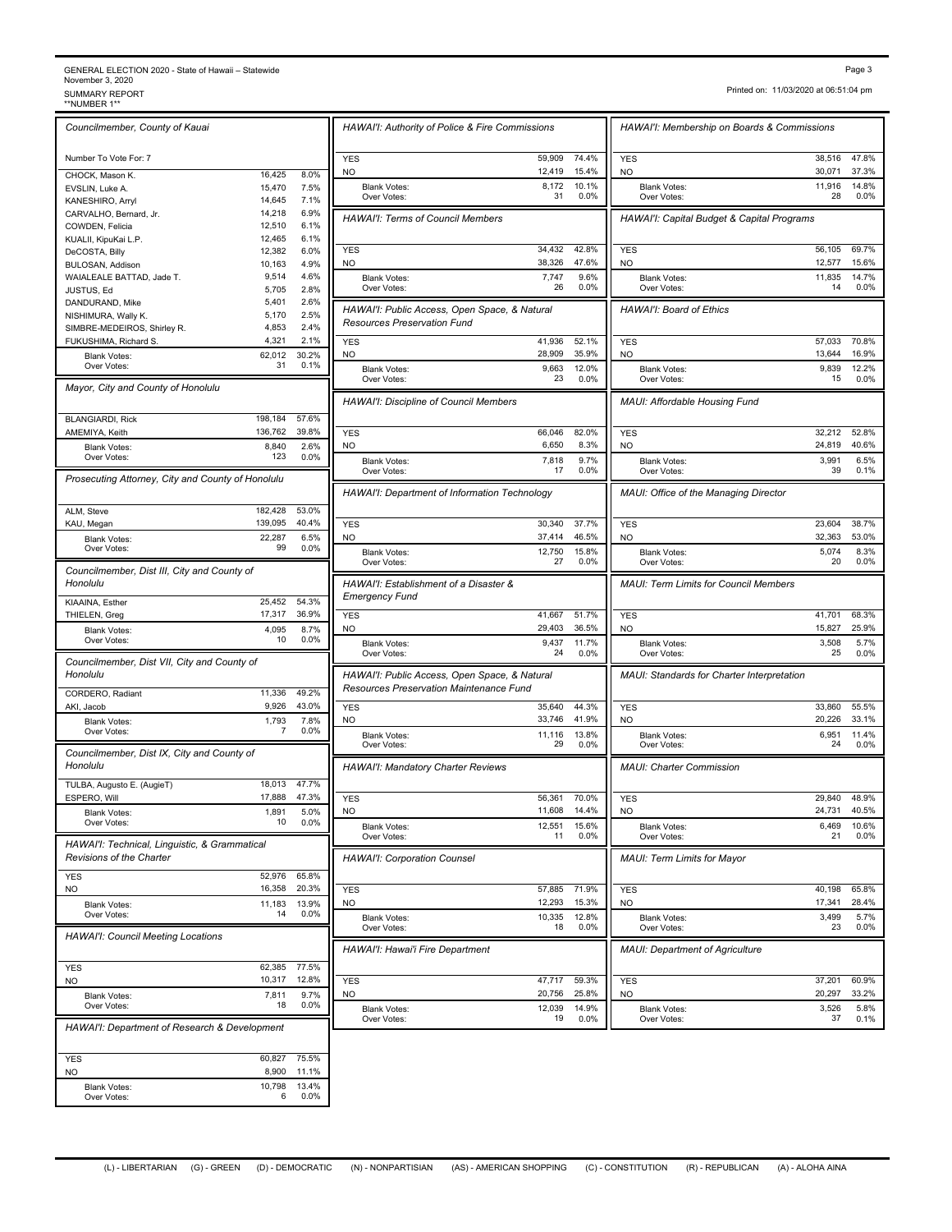### GENERAL ELECTION 2020 - State of Hawaii – Statewide<br>November 3, 2020<br>SUMMARY REPORT<br>\*\*NUMBER 1\*\* GENERAL ELECTION 2020 - State of Hawaii – Statewide<br>November 3, 2020<br>\*NUMBER 1\*\* SUMMARY REPORT<br>\*\*NUMBER 1\*\* The Report of the Summary Report of the Summary Report of the Summary Report of the Summary Report<br>\*\*NUMBER 1\*\*

| Printed on: 11/03/2020 at 06:51:04 pm |  |
|---------------------------------------|--|

*Councilmember, County of Kauai* Number To Vote For: 7 CHOCK, Mason K. 16,425 8.0% EVSLIN, Luke A. 15,470 7.5% KANESHIRO, Arryl 14,645 7.1%<br>CARVALHO, Bernard, Jr. 14,218 6.9% CARVALHO, Bernard, Jr. 14,218 6.9%<br>COWDEN, Felicia 12,510 6.1% COWDEN, Felicia 12,510 6.1%<br>
KUALII, KipuKai L.P. 12,465 6.1% KUALII, KipuKai L.P. 12,465 6.1%<br>DeCOSTA, Billy 12,382 6.0% DeCOSTA, Billy 12,382 6.0%<br>BULOSAN, Addison 12, 10.163 4.9% BULOSAN, Addison WAIALEALE BATTAD, Jade T. 9,514 4.6% JUSTUS, Ed 5,705 2.8% DANDURAND, Mike 5,401 2.6% NISHIMURA, Wally K. 6,170 2.5% SIMBRE-MEDEIROS, Shirley R. 4,853 2.4%<br>FUKUSHIMA, Richard S. 4,321 2.1% FUKUSHIMA, Richard S. Blank Votes: 62,012 30.2%<br>Over Votes: 31 0.1% Diamic *Coop*  30.2% *Mayor, City and County of Honolulu* BLANGIARDI, Rick 198,184 57.6%<br>AMEMIYA, Keith 136,762 39.8% 136,762 39.8% Blank Votes: 8,840<br>Over Votes: 123 Over Votes:  $123 \t 0.0\%$  Riank Votes:  $\frac{2.6\%}{0.0\%}$ *Prosecuting Attorney, City and County of Honolulu* ALM, Steve 182,428 53.0% KAU, Megan 139,095 40.4% Blank Votes: 22,287 6.5%<br>Over Votes: 99 0.0% Over Votes: 99 0.0% 6.5% *Councilmember, Dist III, City and County of Honolulu* KIAAINA, Esther 25,452 54.3% THIELEN, Greg Blank Votes: 4,095 8.7%<br>
Over Votes: 10 0.0% Over Votes: 10 0.0% 8.7% *Councilmember, Dist VII, City and County of Honolulu* CORDERO, Radiant 11,336 49.2% AKI, Jacob 9,926 43.0% Blank Votes: 1,793<br>Over Votes: 1,793 Over Votes:  $\begin{array}{ccc} 7 & 0.0\% \\ 2 & 0.0\% \end{array}$  7.8% *Councilmember, Dist IX, City and County of Honolulu* TULBA, Augusto E. (AugieT) 18,013 47.7%<br>ESPERO, Will 17,888 47.3% ESPERO, Will Blank Votes: 1,891 5.0%<br>Over Votes: 10 0.0% Over Votes: 10 0.0% 5.0% *HAWAI'I: Technical, Linguistic, & Grammatical Revisions of the Charter* YES 52,976 65.8% NO 16,358 20.3% Blank Votes: 11,183 13.9%<br>Cover Votes: 14 0.0% Over Votes:  $\frac{14}{14}$  0.0% 13.9% *HAWAI'I: Council Meeting Locations* YES 62,385 77.5% NO 10,317 12.8% Blank Votes: 7,811 Over Votes: 9.7% *HAWAI'I: Department of Research & Development* YES 60,827 75.5% NO 8,900 11.1% Blank Votes: 10,798 Over Votes: 6 0.0% 13.4%

| HAWAI'I: Authority of Police & Fire Commissions                                          |                  |                 | HAWAI'I: Membership on Boards & Commissions                 |                  |                |
|------------------------------------------------------------------------------------------|------------------|-----------------|-------------------------------------------------------------|------------------|----------------|
| <b>YES</b><br>NO.                                                                        | 59,909<br>12,419 | 74.4%<br>15.4%  | <b>YES</b><br><b>NO</b>                                     | 38,516<br>30,071 | 47.8%<br>37.3% |
| <b>Blank Votes:</b><br>Over Votes:                                                       | 8,172<br>31      | 10.1%<br>0.0%   | <b>Blank Votes:</b><br>Over Votes:                          | 11,916<br>28     | 14.8%<br>0.0%  |
| <b>HAWAI'I: Terms of Council Members</b>                                                 |                  |                 | HAWAI'I: Capital Budget & Capital Programs                  |                  |                |
|                                                                                          |                  |                 |                                                             |                  |                |
| <b>YES</b><br>NO.                                                                        | 34,432<br>38,326 | 42.8%<br>47.6%  | <b>YES</b><br>NO                                            | 56,105<br>12,577 | 69.7%<br>15.6% |
| <b>Blank Votes:</b><br>Over Votes:                                                       | 7,747<br>26      | 9.6%<br>$0.0\%$ | <b>Blank Votes:</b><br>Over Votes:                          | 11,835<br>14     | 14.7%<br>0.0%  |
| HAWAI'I: Public Access, Open Space, & Natural<br><b>Resources Preservation Fund</b>      |                  |                 | HAWAI'I: Board of Ethics                                    |                  |                |
| <b>YES</b><br>NO.                                                                        | 41,936<br>28,909 | 52.1%<br>35.9%  | <b>YES</b><br>NO                                            | 57,033<br>13,644 | 70.8%<br>16.9% |
| <b>Blank Votes:</b>                                                                      | 9,663            | 12.0%           | <b>Blank Votes:</b>                                         | 9,839            | 12.2%          |
| Over Votes:                                                                              | 23               | 0.0%            | Over Votes:                                                 | 15               | 0.0%           |
| HAWAI'I: Discipline of Council Members                                                   |                  |                 | MAUI: Affordable Housing Fund                               |                  |                |
| <b>YES</b><br>NO.                                                                        | 66,046           | 82.0%<br>8.3%   | <b>YES</b><br>N <sub>O</sub>                                | 32,212<br>24.819 | 52.8%<br>40.6% |
| <b>Blank Votes:</b>                                                                      | 6,650<br>7,818   | 9.7%            | <b>Blank Votes:</b>                                         | 3,991            | 6.5%           |
| Over Votes:                                                                              | 17               | 0.0%            | Over Votes:                                                 | 39               | 0.1%           |
| HAWAI'I: Department of Information Technology                                            |                  |                 | MAUI: Office of the Managing Director                       |                  |                |
| <b>YES</b>                                                                               | 30,340           | 37.7%           | <b>YES</b>                                                  | 23,604           | 38.7%          |
| NO.<br><b>Blank Votes:</b>                                                               | 37,414<br>12,750 | 46.5%<br>15.8%  | <b>NO</b><br><b>Blank Votes:</b>                            | 32,363<br>5,074  | 53.0%<br>8.3%  |
| Over Votes:<br>HAWAI'I: Establishment of a Disaster &                                    | 27               | 0.0%            | Over Votes:<br><b>MAUI: Term Limits for Council Members</b> | 20               | 0.0%           |
| <b>Emergency Fund</b><br><b>YES</b>                                                      | 41,667           | 51.7%           | <b>YES</b>                                                  | 41,701           | 68.3%          |
| <b>NO</b>                                                                                | 29,403           | 36.5%           | <b>NO</b>                                                   | 15,827           | 25.9%          |
| <b>Blank Votes:</b><br>Over Votes:                                                       | 9,437<br>24      | 11.7%<br>0.0%   | <b>Blank Votes:</b><br>Over Votes:                          | 3,508<br>25      | 5.7%<br>0.0%   |
| HAWAI'I: Public Access, Open Space, & Natural<br>Resources Preservation Maintenance Fund |                  |                 | <b>MAUI: Standards for Charter Interpretation</b>           |                  |                |
| <b>YES</b><br>NO.                                                                        | 35,640<br>33,746 | 44.3%<br>41.9%  | <b>YES</b><br>NO                                            | 33,860<br>20,226 | 55.5%<br>33.1% |
| <b>Blank Votes:</b>                                                                      | 11,116           | 13.8%           | <b>Blank Votes:</b>                                         | 6,951            | 11.4%          |
| Over Votes:                                                                              | 29               | 0.0%            | Over Votes:<br><b>MAUI: Charter Commission</b>              | 24               | 0.0%           |
| <b>HAWAI'I: Mandatory Charter Reviews</b>                                                |                  |                 |                                                             |                  |                |
| <b>YES</b>                                                                               | 56,361<br>11,608 | 70.0%<br>14.4%  | <b>YES</b><br>NO                                            | 29,840<br>24,731 | 48.9%<br>40.5% |
| NO.<br><b>Blank Votes:</b><br>Over Votes:                                                | 12,551<br>11     | 15.6%<br>0.0%   | <b>Blank Votes:</b><br>Over Votes:                          | 6,469<br>21      | 10.6%<br>0.0%  |
| <b>HAWAI'I: Corporation Counsel</b>                                                      |                  |                 | MAUI: Term Limits for Mayor                                 |                  |                |
| <b>YES</b>                                                                               | 57,885           | 71.9%           | <b>YES</b>                                                  | 40,198           | 65.8%          |
| NO<br><b>Blank Votes:</b>                                                                | 12,293<br>10,335 | 15.3%<br>12.8%  | NO<br><b>Blank Votes:</b>                                   | 17,341<br>3,499  | 28.4%<br>5.7%  |
| Over Votes:                                                                              | 18               | 0.0%            | Over Votes:                                                 | 23               | 0.0%           |
| HAWAI'I: Hawai'i Fire Department                                                         |                  |                 | <b>MAUI: Department of Agriculture</b>                      |                  |                |
| YES<br>NO.                                                                               | 47,717<br>20,756 | 59.3%<br>25.8%  | YES<br><b>NO</b>                                            | 37,201<br>20,297 | 60.9%<br>33.2% |
| <b>Blank Votes:</b>                                                                      | 12,039           | 14.9%           | <b>Blank Votes:</b>                                         | 3,526            | 5.8%           |
| Over Votes:                                                                              | 19               | 0.0%            | Over Votes:                                                 | 37               | 0.1%           |